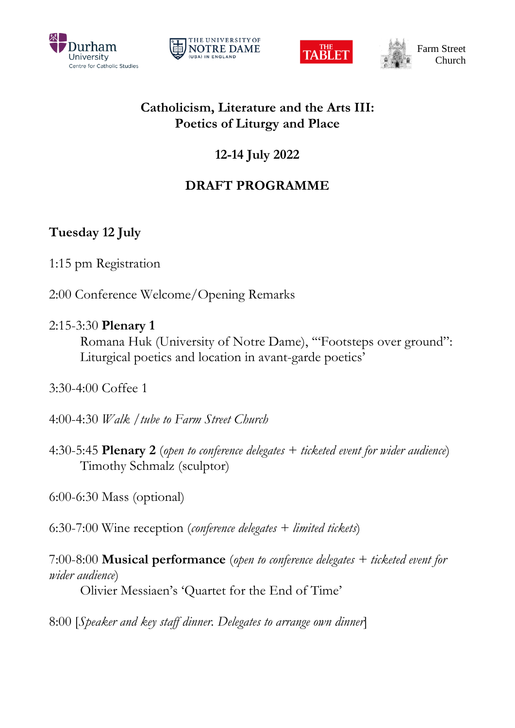







## **Catholicism, Literature and the Arts III: Poetics of Liturgy and Place**

# **12-14 July 2022**

# **DRAFT PROGRAMME**

# **Tuesday 12 July**

- 1:15 pm Registration
- 2:00 Conference Welcome/Opening Remarks

## 2:15-3:30 **Plenary 1**

Romana Huk (University of Notre Dame), '"Footsteps over ground": Liturgical poetics and location in avant-garde poetics'

- 3:30-4:00 Coffee 1
- 4:00-4:30 *Walk /tube to Farm Street Church*
- 4:30-5:45 **Plenary 2** (*open to conference delegates + ticketed event for wider audience*) Timothy Schmalz (sculptor)

6:00-6:30 Mass (optional)

6:30-7:00 Wine reception (*conference delegates + limited tickets*)

7:00-8:00 **Musical performance** (*open to conference delegates + ticketed event for wider audience*) Olivier Messiaen's 'Quartet for the End of Time'

8:00 [*Speaker and key staff dinner. Delegates to arrange own dinner*]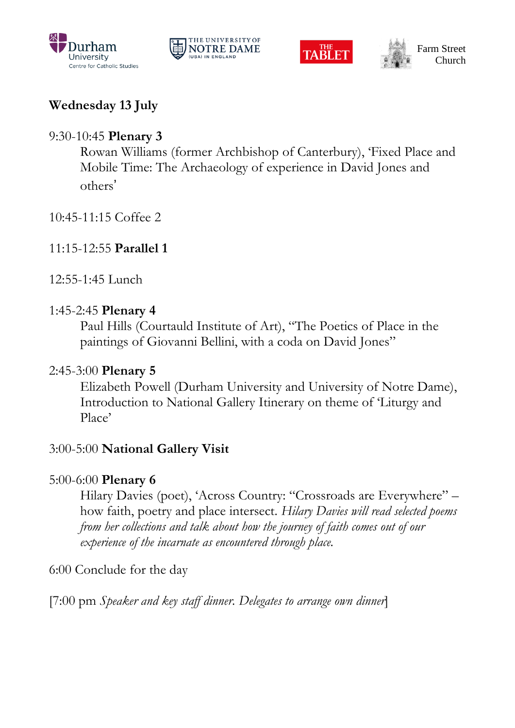







# **Wednesday 13 July**

## 9:30-10:45 **Plenary 3**

Rowan Williams (former Archbishop of Canterbury), 'Fixed Place and Mobile Time: The Archaeology of experience in David Jones and others'

- 10:45-11:15 Coffee 2
- 11:15-12:55 **Parallel 1**
- 12:55-1:45 Lunch

## 1:45-2:45 **Plenary 4**

Paul Hills (Courtauld Institute of Art), "The Poetics of Place in the paintings of Giovanni Bellini, with a coda on David Jones"

## 2:45-3:00 **Plenary 5**

Elizabeth Powell (Durham University and University of Notre Dame), Introduction to National Gallery Itinerary on theme of 'Liturgy and Place'

## 3:00-5:00 **National Gallery Visit**

## 5:00-6:00 **Plenary 6**

Hilary Davies (poet), 'Across Country: "Crossroads are Everywhere" – how faith, poetry and place intersect. *Hilary Davies will read selected poems from her collections and talk about how the journey of faith comes out of our experience of the incarnate as encountered through place.*

6:00 Conclude for the day

[7:00 pm *Speaker and key staff dinner. Delegates to arrange own dinner*]